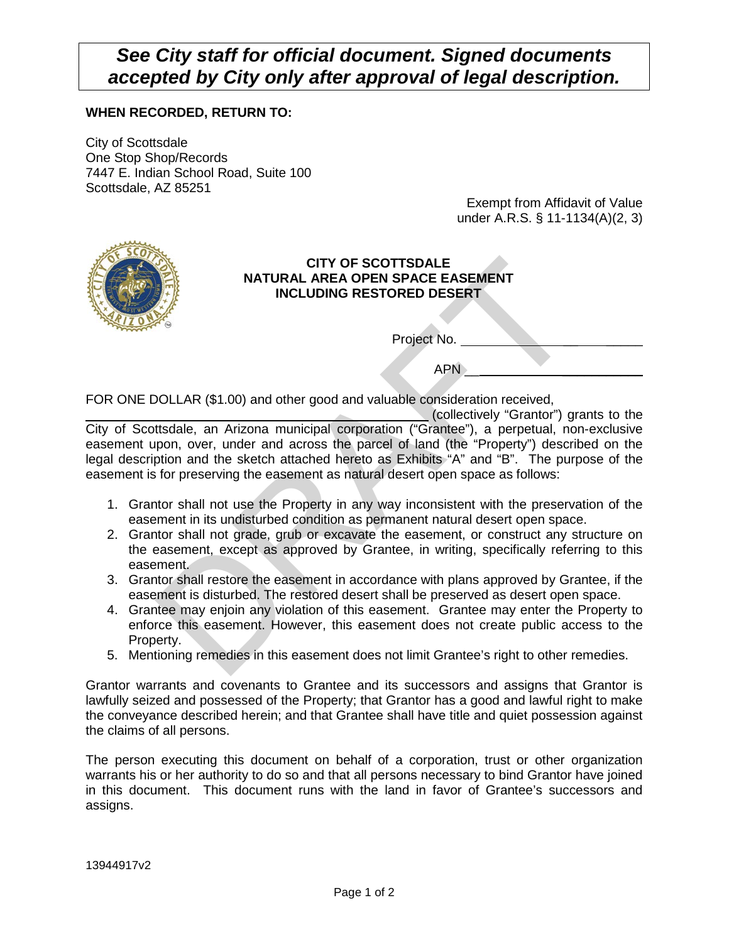## *See City staff for official document. Signed documents accepted by City only after approval of legal description.*

## **WHEN RECORDED, RETURN TO:**

City of Scottsdale One Stop Shop/Records 7447 E. Indian School Road, Suite 100 Scottsdale, AZ 85251

Exempt from Affidavit of Value under A.R.S. § 11-1134(A)(2, 3)



## **CITY OF SCOTTSDALE NATURAL AREA OPEN SPACE EASEMENT INCLUDING RESTORED DESERT**

Project No. \_

 $APN$ 

FOR ONE DOLLAR (\$1.00) and other good and valuable consideration received,

CITY OF SCOTTSDALE<br>
INCLUDING RESTORED DESERT<br>
INCLUDING RESTORED DESERT<br>
Project No.<br>
APN<br>
DOLLAR (\$1.00) and other good and valuable consideration received,<br>
ttsdale, an Arizona municipal corporation ("Grantee"), a perpe (collectively "Grantor") grants to the City of Scottsdale, an Arizona municipal corporation ("Grantee"), a perpetual, non-exclusive easement upon, over, under and across the parcel of land (the "Property") described on the legal description and the sketch attached hereto as Exhibits "A" and "B". The purpose of the easement is for preserving the easement as natural desert open space as follows:

- 1. Grantor shall not use the Property in any way inconsistent with the preservation of the easement in its undisturbed condition as permanent natural desert open space.
- 2. Grantor shall not grade, grub or excavate the easement, or construct any structure on the easement, except as approved by Grantee, in writing, specifically referring to this easement.
- 3. Grantor shall restore the easement in accordance with plans approved by Grantee, if the easement is disturbed. The restored desert shall be preserved as desert open space.
- 4. Grantee may enjoin any violation of this easement. Grantee may enter the Property to enforce this easement. However, this easement does not create public access to the Property.
- 5. Mentioning remedies in this easement does not limit Grantee's right to other remedies.

Grantor warrants and covenants to Grantee and its successors and assigns that Grantor is lawfully seized and possessed of the Property; that Grantor has a good and lawful right to make the conveyance described herein; and that Grantee shall have title and quiet possession against the claims of all persons.

The person executing this document on behalf of a corporation, trust or other organization warrants his or her authority to do so and that all persons necessary to bind Grantor have joined in this document. This document runs with the land in favor of Grantee's successors and assigns.